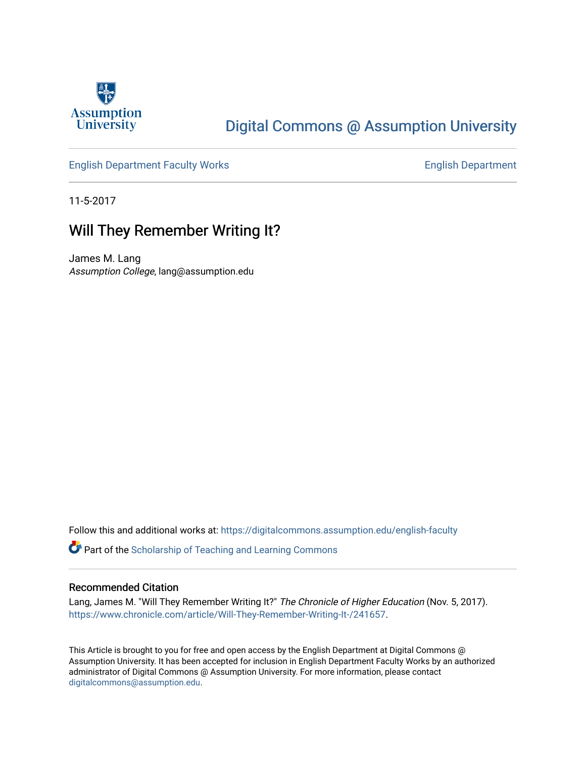

# [Digital Commons @ Assumption University](https://digitalcommons.assumption.edu/)

[English Department Faculty Works](https://digitalcommons.assumption.edu/english-faculty) **English Department** 

11-5-2017

## Will They Remember Writing It?

James M. Lang Assumption College, lang@assumption.edu

Follow this and additional works at: [https://digitalcommons.assumption.edu/english-faculty](https://digitalcommons.assumption.edu/english-faculty?utm_source=digitalcommons.assumption.edu%2Fenglish-faculty%2F26&utm_medium=PDF&utm_campaign=PDFCoverPages) 

**P** Part of the Scholarship of Teaching and Learning Commons

### Recommended Citation

Lang, James M. "Will They Remember Writing It?" The Chronicle of Higher Education (Nov. 5, 2017). <https://www.chronicle.com/article/Will-They-Remember-Writing-It-/241657>.

This Article is brought to you for free and open access by the English Department at Digital Commons @ Assumption University. It has been accepted for inclusion in English Department Faculty Works by an authorized administrator of Digital Commons @ Assumption University. For more information, please contact [digitalcommons@assumption.edu](mailto:digitalcommons@assumption.edu).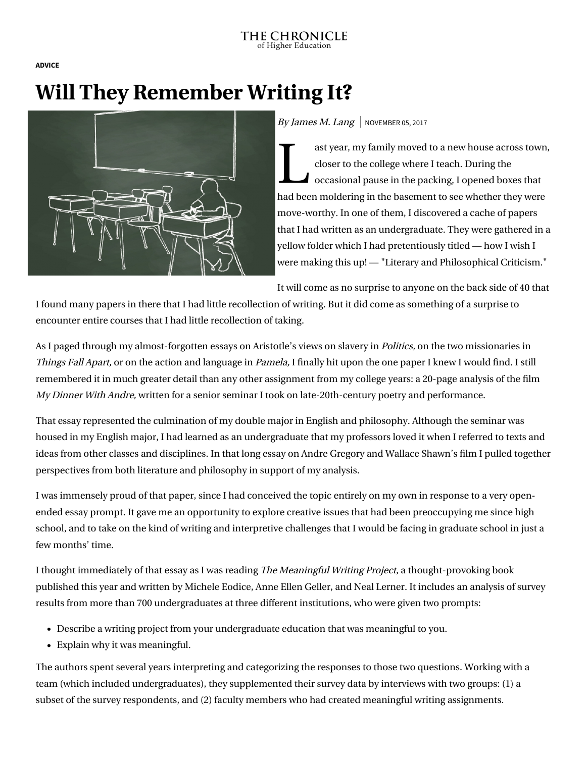#### THE CHRONICLE of Higher Education

**[ADVICE](https://www.chronicle.com/section/Advice/66)**

# **Will They Remember Writing It?**



## By James M. Lang | NOVEMBER 05, 2017

ast y ast year, my family moved to a new house across town, closer to the college where I teach. During the occasional pause in the packing, I opened boxes that had been moldering in the basement to see whether they were move-worthy. In one of them, I discovered a cache of papers that I had written as an undergraduate. They were gathered in a yellow folder which I had pretentiously titled — how I wish I [were making this up! — "Literary and Philosophical Criticism](http://www.jamesmlang.com/2017/10/literary-and-philosophical-criticisms.html)."

It will come as no surprise to anyone on the back side of 40 that

I found many papers in there that I had little recollection of writing. But it did come as something of a surprise to encounter entire courses that I had little recollection of taking.

As I paged through my almost-forgotten essays on Aristotle's views on slavery in *Politics*, on the two missionaries in Things Fall Apart, or on the action and language in Pamela, I finally hit upon the one paper I knew I would find. I still remembered it in much greater detail than any other assignment from my college years: a 20-page analysis of the film My Dinner With Andre, written for a senior seminar I took on late-20th-century poetry and performance.

That essay represented the culmination of my double major in English and philosophy. Although the seminar was housed in my English major, I had learned as an undergraduate that my professors loved it when I referred to texts and ideas from other classes and disciplines. In that long essay on Andre Gregory and Wallace Shawn's film I pulled together perspectives from both literature and philosophy in support of my analysis.

I was immensely proud of that paper, since I had conceived the topic entirely on my own in response to a very openended essay prompt. It gave me an opportunity to explore creative issues that had been preoccupying me since high school, and to take on the kind of writing and interpretive challenges that I would be facing in graduate school in just a few months' time.

I thought immediately of that essay as I was reading The Meaningful Writing Project, a thought-provoking book [published this year and written by Michele Eodice, Anne Ellen Geller, and Neal Lerner. It includes an analysis of](https://www.amazon.com/Meaningful-Writing-Project-Learning-Education/dp/1607325799) survey results from more than 700 undergraduates at three different institutions, who were given two prompts:

- Describe a writing project from your undergraduate education that was meaningful to you.
- Explain why it was meaningful.

The authors spent several years interpreting and categorizing the responses to those two questions. Working with a team (which included undergraduates), they supplemented their survey data by interviews with two groups: (1) a subset of the survey respondents, and (2) faculty members who had created meaningful writing assignments.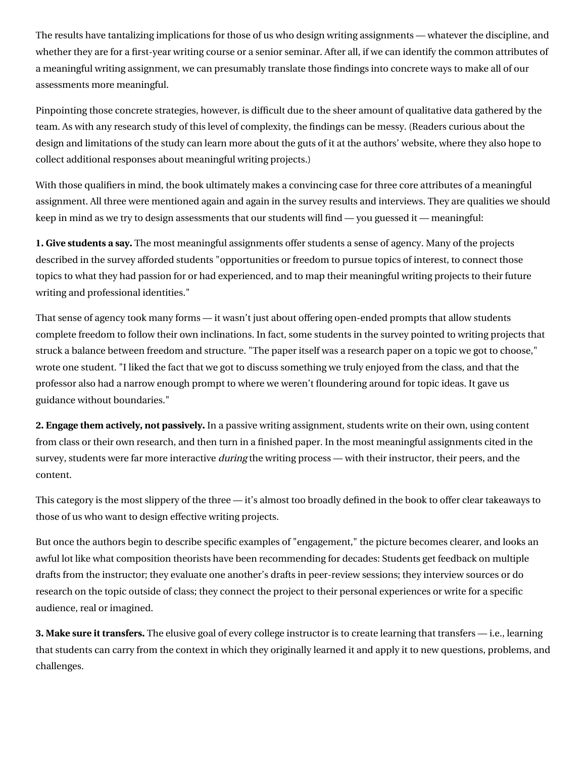The results have tantalizing implications for those of us who design writing assignments — whatever the discipline, and whether they are for a first-year writing course or a senior seminar. After all, if we can identify the common attributes of a meaningful writing assignment, we can presumably translate those findings into concrete ways to make all of our assessments more meaningful.

Pinpointing those concrete strategies, however, is difficult due to the sheer amount of qualitative data gathered by the team. As with any research study of this level of complexity, the findings can be messy. (Readers curious about the design and limitations of the study can learn more about the guts of it [at the authors' website](http://meaningfulwritingproject.net/), where they also hope to collect additional responses about meaningful writing projects.)

With those qualifiers in mind, the book ultimately makes a convincing case for three core attributes of a meaningful assignment. All three were mentioned again and again in the survey results and interviews. They are qualities we should keep in mind as we try to design assessments that our students will find — you guessed it — meaningful:

**1. Give students a say.** The most meaningful assignments offer students a sense of agency. Many of the projects described in the survey afforded students "opportunities or freedom to pursue topics of interest, to connect those topics to what they had passion for or had experienced, and to map their meaningful writing projects to their future writing and professional identities."

That sense of agency took many forms — it wasn't just about offering open-ended prompts that allow students complete freedom to follow their own inclinations. In fact, some students in the survey pointed to writing projects that struck a balance between freedom and structure. "The paper itself was a research paper on a topic we got to choose," wrote one student. "I liked the fact that we got to discuss something we truly enjoyed from the class, and that the professor also had a narrow enough prompt to where we weren't floundering around for topic ideas. It gave us guidance without boundaries."

**2. Engage them actively, not passively.** In a passive writing assignment, students write on their own, using content from class or their own research, and then turn in a finished paper. In the most meaningful assignments cited in the survey, students were far more interactive *during* the writing process — with their instructor, their peers, and the content.

This category is the most slippery of the three — it's almost too broadly defined in the book to offer clear takeaways to those of us who want to design effective writing projects.

But once the authors begin to describe specific examples of "engagement," the picture becomes clearer, and looks an awful lot like what composition theorists have been recommending for decades: Students get feedback on multiple drafts from the instructor; they evaluate one another's drafts in peer-review sessions; they interview sources or do research on the topic outside of class; they connect the project to their personal experiences or write for a specific audience, real or imagined.

**3. Make sure it transfers.** The elusive goal of every college instructor is to create learning that transfers — i.e., learning that students can carry from the context in which they originally learned it and apply it to new questions, problems, and challenges.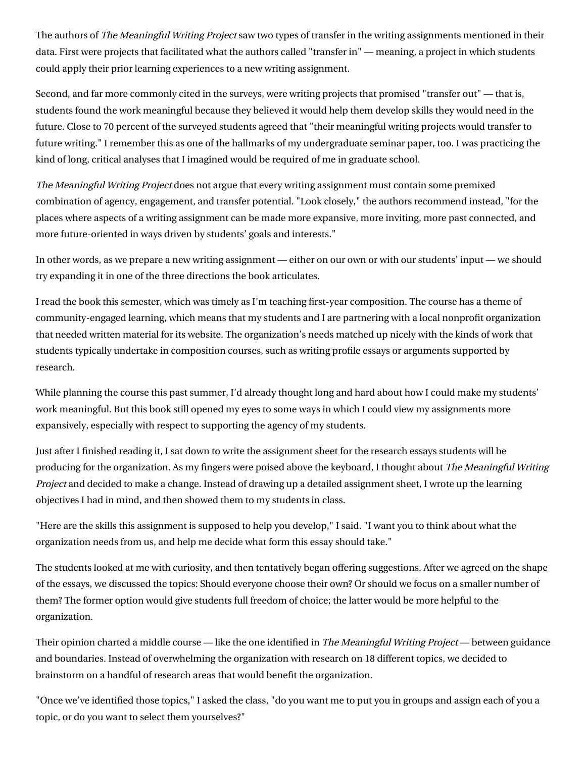The authors of The Meaningful Writing Project saw two types of transfer in the writing assignments mentioned in their data. First were projects that facilitated what the authors called "transfer in" — meaning, a project in which students could apply their prior learning experiences to a new writing assignment.

Second, and far more commonly cited in the surveys, were writing projects that promised "transfer out" — that is, students found the work meaningful because they believed it would help them develop skills they would need in the future. Close to 70 percent of the surveyed students agreed that "their meaningful writing projects would transfer to future writing." I remember this as one of the hallmarks of my undergraduate seminar paper, too. I was practicing the kind of long, critical analyses that I imagined would be required of me in graduate school.

The Meaningful Writing Project does not argue that every writing assignment must contain some premixed combination of agency, engagement, and transfer potential. "Look closely," the authors recommend instead, "for the places where aspects of a writing assignment can be made more expansive, more inviting, more past connected, and more future-oriented in ways driven by students' goals and interests."

In other words, as we prepare a new writing assignment — either on our own or with our students' input — we should try expanding it in one of the three directions the book articulates.

I read the book this semester, which was timely as I'm teaching first-year composition. The course has a theme of community-engaged learning, which means that my students and I are partnering with a local nonprofit organization that needed written material for its website. The organization's needs matched up nicely with the kinds of work that students typically undertake in composition courses, such as writing profile essays or arguments supported by research.

While planning the course this past summer, I'd already thought long and hard about how I could make my students' work meaningful. But this book still opened my eyes to some ways in which I could view my assignments more expansively, especially with respect to supporting the agency of my students.

Just after I finished reading it, I sat down to write the assignment sheet for the research essays students will be producing for the organization. As my fingers were poised above the keyboard, I thought about The Meaningful Writing Project and decided to make a change. Instead of drawing up a detailed assignment sheet, I wrote up the learning objectives I had in mind, and then showed them to my students in class.

"Here are the skills this assignment is supposed to help you develop," I said. "I want you to think about what the organization needs from us, and help me decide what form this essay should take."

The students looked at me with curiosity, and then tentatively began offering suggestions. After we agreed on the shape of the essays, we discussed the topics: Should everyone choose their own? Or should we focus on a smaller number of them? The former option would give students full freedom of choice; the latter would be more helpful to the organization.

Their opinion charted a middle course — like the one identified in *The Meaningful Writing Project* — between guidance and boundaries. Instead of overwhelming the organization with research on 18 different topics, we decided to brainstorm on a handful of research areas that would benefit the organization.

"Once we've identified those topics," I asked the class, "do you want me to put you in groups and assign each of you a topic, or do you want to select them yourselves?"